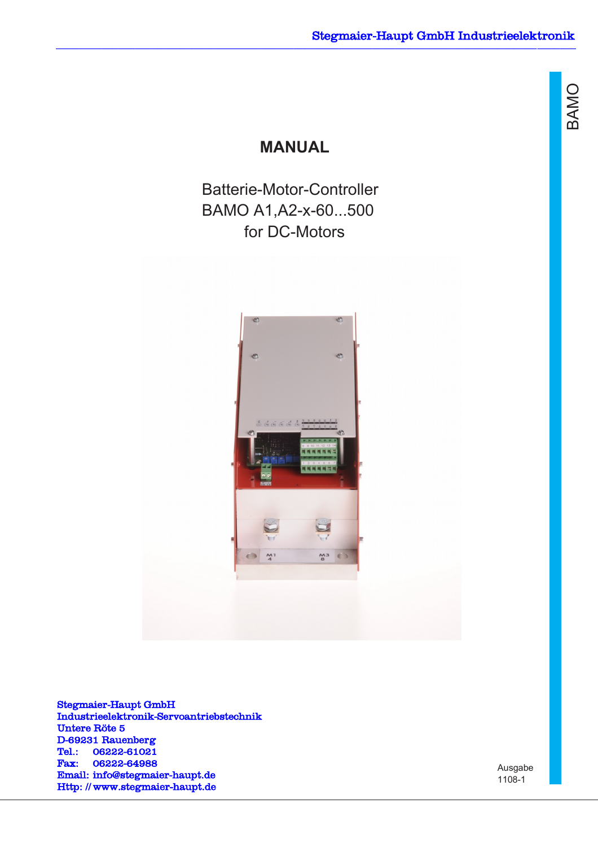മ  $\triangleleft$  $\geq$ O

## **MANUAL**

Batterie-Motor-Controller BAMO A1,A2-x-60...500 for DC-Motors



Stegmaier-Haupt GmbH Industrieelektronik-Servoantriebstechnik Untere Röte 5 D-69231 Rauenberg Tel.: 06222-61021 Fax: 06222-64988 Email: [info@stegmaier-haupt.de](mailto:info@stegmaier-haupt.de) Http: // [www.stegmaier-haupt.de](http://www.stegmaier-haupt.de/)

Ausgabe 1108-1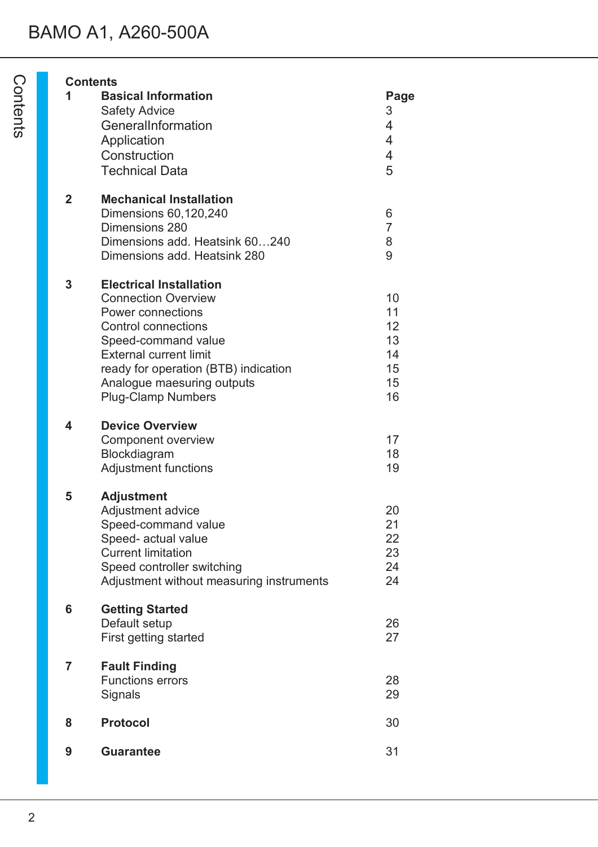# BAMO A1, A260-500A

|                | <b>Contents</b>                                                                                                                                                                                                                                                            |                                                                      |
|----------------|----------------------------------------------------------------------------------------------------------------------------------------------------------------------------------------------------------------------------------------------------------------------------|----------------------------------------------------------------------|
| 1              | <b>Basical Information</b><br><b>Safety Advice</b><br>GeneralInformation<br>Application<br>Construction<br><b>Technical Data</b>                                                                                                                                           | Page<br>3<br>$\overline{4}$<br>$\overline{4}$<br>$\overline{4}$<br>5 |
| $\overline{2}$ | <b>Mechanical Installation</b><br>Dimensions 60,120,240<br>Dimensions 280<br>Dimensions add. Heatsink 60240<br>Dimensions add. Heatsink 280                                                                                                                                | 6<br>$\overline{7}$<br>8<br>9                                        |
| 3              | <b>Electrical Installation</b><br><b>Connection Overview</b><br>Power connections<br><b>Control connections</b><br>Speed-command value<br><b>External current limit</b><br>ready for operation (BTB) indication<br>Analogue maesuring outputs<br><b>Plug-Clamp Numbers</b> | 10<br>11<br>12<br>13<br>14<br>15<br>15<br>16                         |
| 4              | <b>Device Overview</b><br>Component overview<br>Blockdiagram<br><b>Adjustment functions</b>                                                                                                                                                                                | 17<br>18<br>19                                                       |
| 5              | <b>Adjustment</b><br>Adjustment advice<br>Speed-command value<br>Speed- actual value<br><b>Current limitation</b><br>Speed controller switching<br>Adjustment without measuring instruments                                                                                | 20<br>21<br>22<br>23<br>24<br>24                                     |
| 6              | <b>Getting Started</b><br>Default setup<br>First getting started                                                                                                                                                                                                           | 26<br>27                                                             |
| $\overline{7}$ | <b>Fault Finding</b><br><b>Functions errors</b><br>Signals                                                                                                                                                                                                                 | 28<br>29                                                             |
| 8              | <b>Protocol</b>                                                                                                                                                                                                                                                            | 30                                                                   |
| 9              | <b>Guarantee</b>                                                                                                                                                                                                                                                           | 31                                                                   |
|                |                                                                                                                                                                                                                                                                            |                                                                      |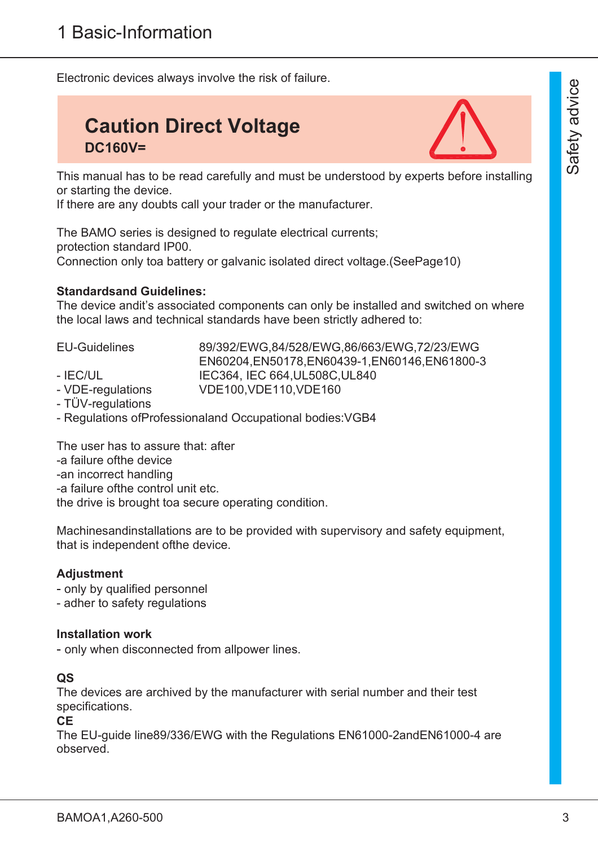Electronic devices always involve the risk of failure.

# **Caution Direct Voltage DC160V=**



This manual has to be read carefully and must be understood by experts before installing or starting the device.

If there are any doubts call your trader or the manufacturer.

The BAMO series is designed to regulate electrical currents; protection standard IP00. Connection only toa battery or galvanic isolated direct voltage.(SeePage10)

#### **Standardsand Guidelines:**

The device andit's associated components can only be installed and switched on where the local laws and technical standards have been strictly adhered to:

EU-Guidelines 89/392/EWG,84/528/EWG,86/663/EWG,72/23/EWG EN60204,EN50178,EN60439-1,EN60146,EN61800-3 - IEC/UL IEC364, IEC 664, UL508C, UL840

- VDE-regulations VDE100,VDE110,VDE160
- TÜV-regulations
- Regulations ofProfessionaland Occupational bodies:VGB4

The user has to assure that: after -a failure ofthe device -an incorrect handling -a failure ofthe control unit etc. the drive is brought toa secure operating condition.

Machinesandinstallations are to be provided with supervisory and safety equipment, that is independent ofthe device.

#### **Adjustment**

- only by qualified personnel

- adher to safety regulations

#### **Installation work**

- only when disconnected from allpower lines.

#### **QS**

The devices are archived by the manufacturer with serial number and their test specifications.

#### **CE**

The EU-guide line89/336/EWG with the Regulations EN61000-2andEN61000-4 are observed.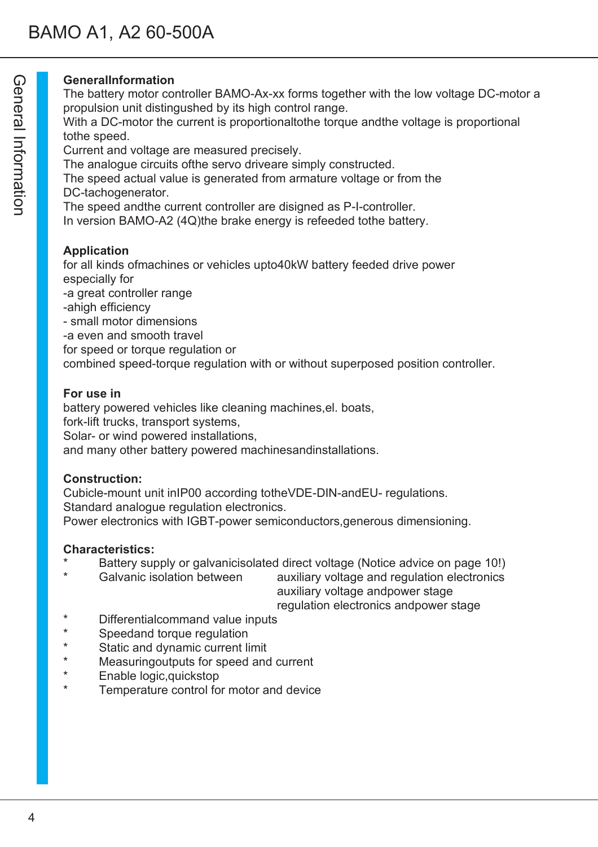## **GeneralInformation**

The battery motor controller BAMO-Ax-xx forms together with the low voltage DC-motor a propulsion unit distingushed by its high control range.

With a DC-motor the current is proportionaltothe torque andthe voltage is proportional tothe speed.

Current and voltage are measured precisely.

The analogue circuits ofthe servo driveare simply constructed.

The speed actual value is generated from armature voltage or from the DC-tachogenerator.

The speed andthe current controller are disigned as P-I-controller.

In version BAMO-A2 (4Q)the brake energy is refeeded tothe battery.

## **Application**

for all kinds ofmachines or vehicles upto40kW battery feeded drive power especially for

-a great controller range

- -ahigh efficiency
- small motor dimensions
- -a even and smooth travel
- for speed or torque regulation or

combined speed-torque regulation with or without superposed position controller.

#### **For use in**

battery powered vehicles like cleaning machines,el. boats, fork-lift trucks, transport systems, Solar- or wind powered installations, and many other battery powered machinesandinstallations.

#### **Construction:**

Cubicle-mount unit inIP00 according totheVDE-DIN-andEU- regulations. Standard analogue regulation electronics. Power electronics with IGBT-power semiconductors,generous dimensioning.

#### **Characteristics:**

- Battery supply or galvanicisolated direct voltage (Notice advice on page 10!)
- Galvanic isolation between auxiliary voltage and regulation electronics

auxiliary voltage andpower stage

## regulation electronics andpower stage

- \* Differentialcommand value inputs
- Speedand torque regulation
- Static and dynamic current limit
- \* Measuringoutputs for speed and current
- \* Enable logic,quickstop
- Temperature control for motor and device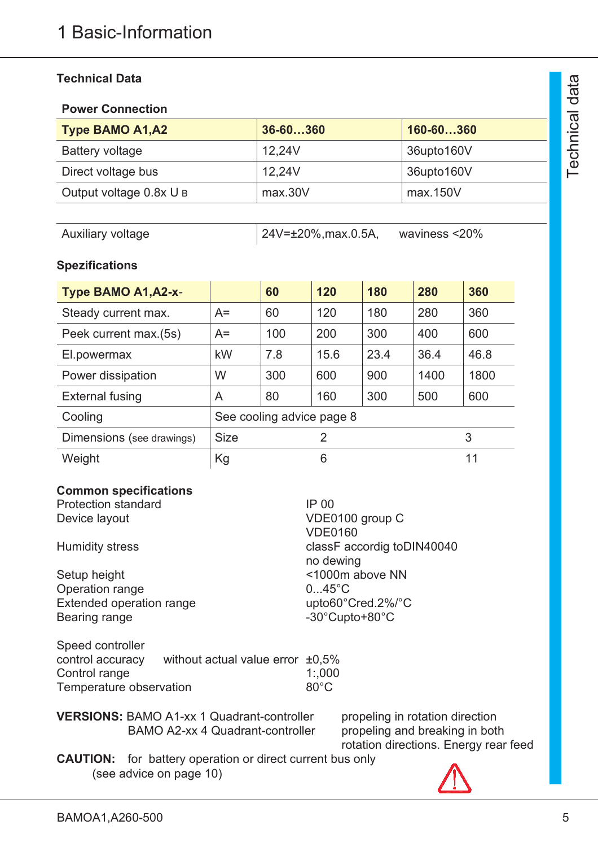### **Technical Data**

#### **Power Connection**

| <b>Type BAMO A1, A2</b> | 36-60360 | 160-60360  |
|-------------------------|----------|------------|
| <b>Battery voltage</b>  | 12.24V   | 36upto160V |
| Direct voltage bus      | 12.24V   | 36upto160V |
| Output voltage 0.8x U B | max.30V  | max.150V   |

Auxiliary voltage 24V=±20%,max.0.5A, waviness <20%

### **Spezifications**

| Type BAMO A1, A2-x-                      |           | 60                        | 120  | 180  | 280  | 360  |
|------------------------------------------|-----------|---------------------------|------|------|------|------|
| Steady current max.                      | $A=$      | 60                        | 120  | 180  | 280  | 360  |
| Peek current max.(5s)                    | $A=$      | 100                       | 200  | 300  | 400  | 600  |
| El.powermax                              | <b>kW</b> | 7.8                       | 15.6 | 23.4 | 36.4 | 46.8 |
| Power dissipation                        | W         | 300                       | 600  | 900  | 1400 | 1800 |
| <b>External fusing</b>                   | A         | 80                        | 160  | 300  | 500  | 600  |
| Cooling                                  |           | See cooling advice page 8 |      |      |      |      |
| <b>Size</b><br>Dimensions (see drawings) |           | 2                         |      |      |      | 3    |
| Weight                                   | Kg        |                           | 6    |      |      | 11   |

### **Common specifications**

Protection standard Device layout

Humidity stress

Setup height Operation range Extended operation range Bearing range

| <b>IP 00</b>               |
|----------------------------|
| VDE0100 group C            |
| <b>VDE0160</b>             |
| classF accordig toDIN40040 |
| no dewing                  |
| <1000m above NN            |
| $045^{\circ}$ C            |
| upto60°Cred.2%/°C          |
| -30°Cupto+80°C             |
|                            |

| Speed controller        |                                        |                |
|-------------------------|----------------------------------------|----------------|
| control accuracy        | without actual value error $\pm 0.5\%$ |                |
| Control range           |                                        | 1:000          |
| Temperature observation |                                        | $80^{\circ}$ C |

| <b>VERSIONS: BAMO A1-xx 1 Quadrant-controller</b> | propeling in  |
|---------------------------------------------------|---------------|
| BAMO A2-xx 4 Quadrant-controller                  | propeling a   |
|                                                   | rotation dire |

n rotation direction nd breaking in both rotation directions. Energy rear feed

**CAUTION:** for battery operation or direct current bus only (see advice on page 10)

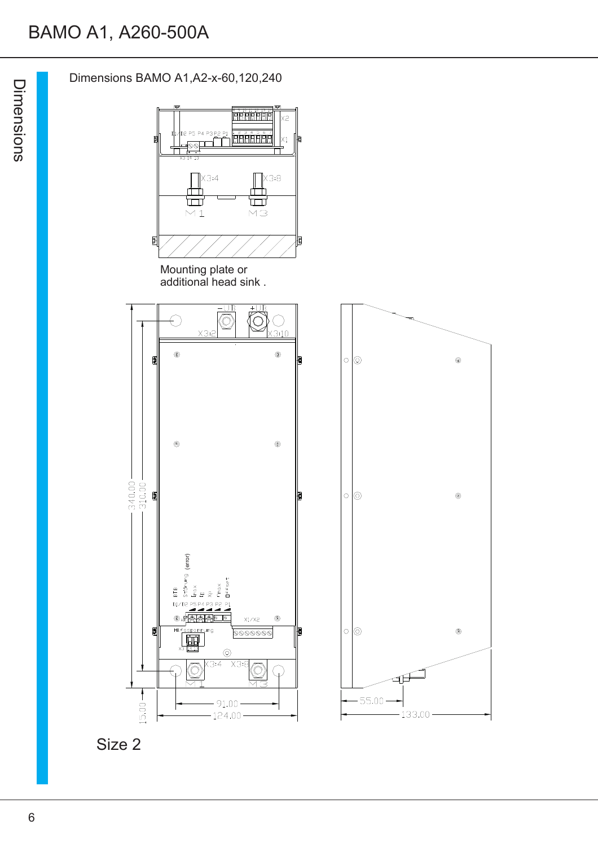# BAMO A1, A260-500A

Dimensions BAMO A1,A2-x-60,120,240

D2 P5 P4 P3 P2 P1

**ARCHERE** 

 $x<sub>2</sub>$ 

 $\mathsf{x}_1$ ł





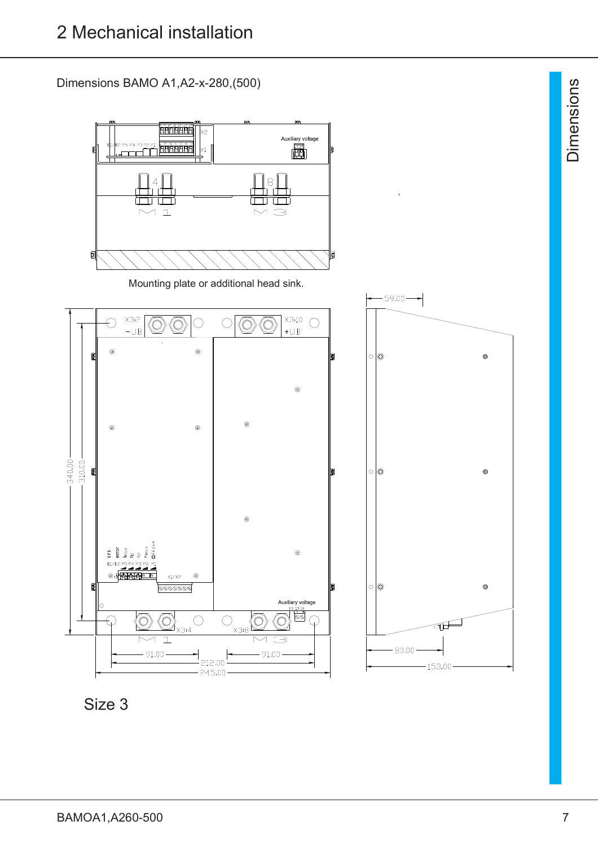Dimensions BAMO A1,A2-x-280,(500)



Size 3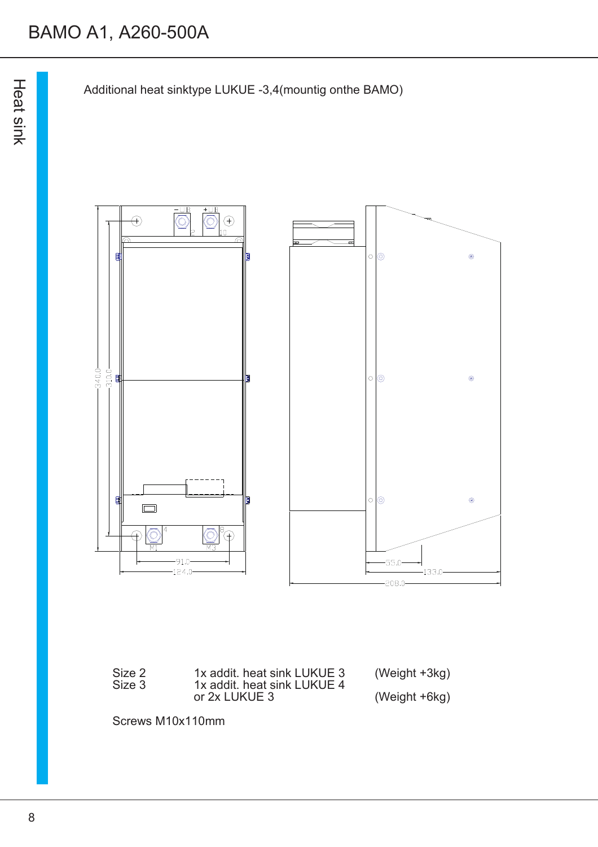



| Size 2<br>Size 3 | 1x addit. heat sink LUKUE 3<br>1x addit. heat sink LUKUE 4 | (Weight +3kg) |
|------------------|------------------------------------------------------------|---------------|
|                  | or 2x LUKUE 3                                              | (Weight +6kg) |

Screws M10x110mm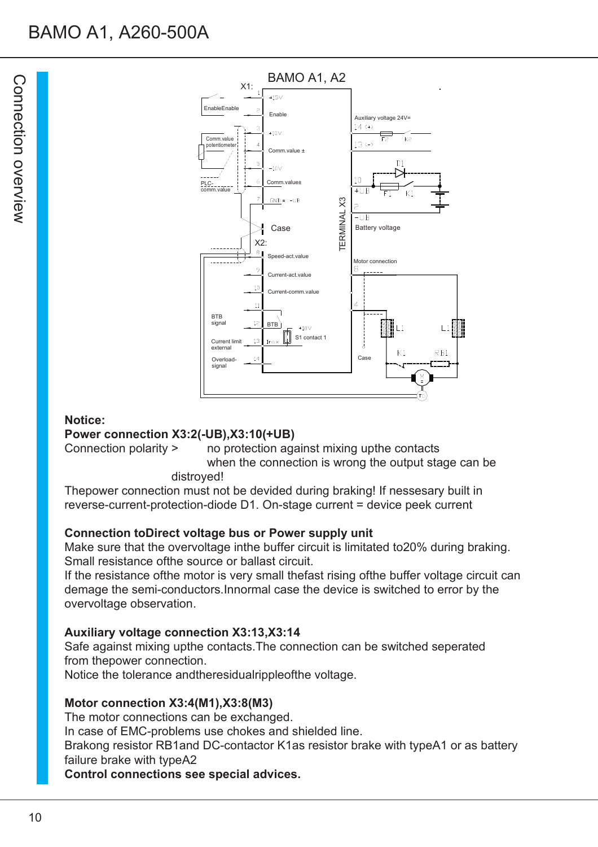

#### **Notice:**

#### **Power connection X3:2(-UB),X3:10(+UB)**

Connection polarity > no protection against mixing upthe contacts when the connection is wrong the output stage can be distroyed!

Thepower connection must not be devided during braking! If nessesary built in reverse-current-protection-diode D1. On-stage current = device peek current

#### **Connection toDirect voltage bus or Power supply unit**

Make sure that the overvoltage inthe buffer circuit is limitated to20% during braking. Small resistance ofthe source or ballast circuit.

If the resistance ofthe motor is very small thefast rising ofthe buffer voltage circuit can demage the semi-conductors.Innormal case the device is switched to error by the overvoltage observation.

#### **Auxiliary voltage connection X3:13,X3:14**

Safe against mixing upthe contacts.The connection can be switched seperated from thepower connection.

Notice the tolerance andtheresidualrippleofthe voltage.

#### **Motor connection X3:4(M1),X3:8(M3)**

The motor connections can be exchanged. In case of EMC-problems use chokes and shielded line. Brakong resistor RB1and DC-contactor K1as resistor brake with typeA1 or as battery failure brake with typeA2 **Control connections see special advices.**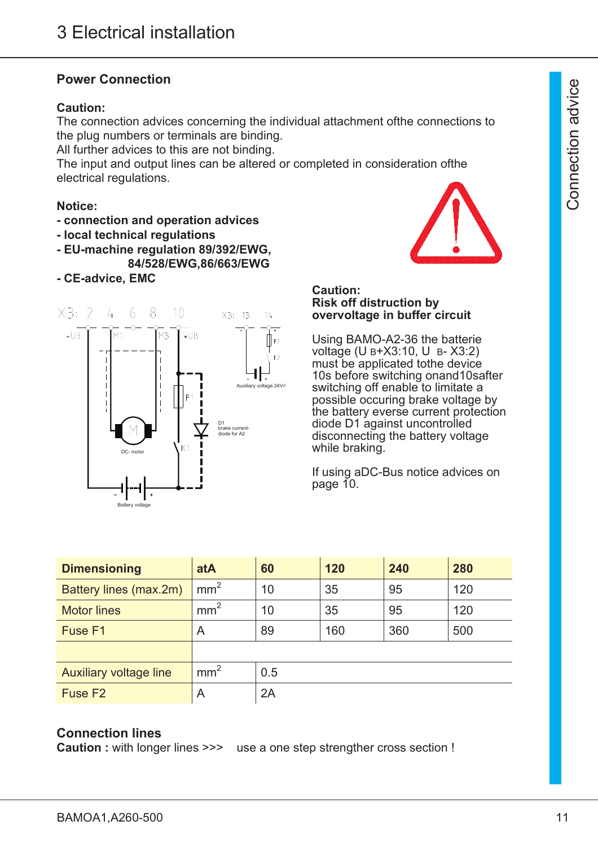### **Power Connection**

#### **Caution:**

The connection advices concerning the individual attachment ofthe connections to the plug numbers or terminals are binding.

All further advices to this are not binding.

The input and output lines can be altered or completed in consideration ofthe electrical regulations.

#### **Notice:**

- **connection and operation advices**
- **local technical regulations**
- **EU-machine regulation 89/392/EWG, 84/528/EWG,86/663/EWG**
- **CE-advice, EMC**



#### **Caution: Risk off distruction by overvoltage in buffer circuit**

Using BAMO-A2-36 the batterie voltage (U B+X3:10, U B- X3:2) must be applicated tothe device 10s before switching onand10safter switching off enable to limitate a possible occuring brake voltage by the battery everse current protection diode D1 against uncontrolled disconnecting the battery voltage while braking.

If using aDC-Bus notice advices on page 10.

| <b>Dimensioning</b>           | atA             | 60  | 120 | 240 | 280 |
|-------------------------------|-----------------|-----|-----|-----|-----|
| Battery lines (max.2m)        | mm <sup>2</sup> | 10  | 35  | 95  | 120 |
| <b>Motor lines</b>            | mm <sup>2</sup> | 10  | 35  | 95  | 120 |
| Fuse F1                       | A               | 89  | 160 | 360 | 500 |
|                               |                 |     |     |     |     |
| <b>Auxiliary voltage line</b> | mm <sup>2</sup> | 0.5 |     |     |     |
| Fuse F <sub>2</sub>           | A               | 2A  |     |     |     |

#### **Connection lines**

**Caution :** with longer lines >>> use a one step strengther cross section !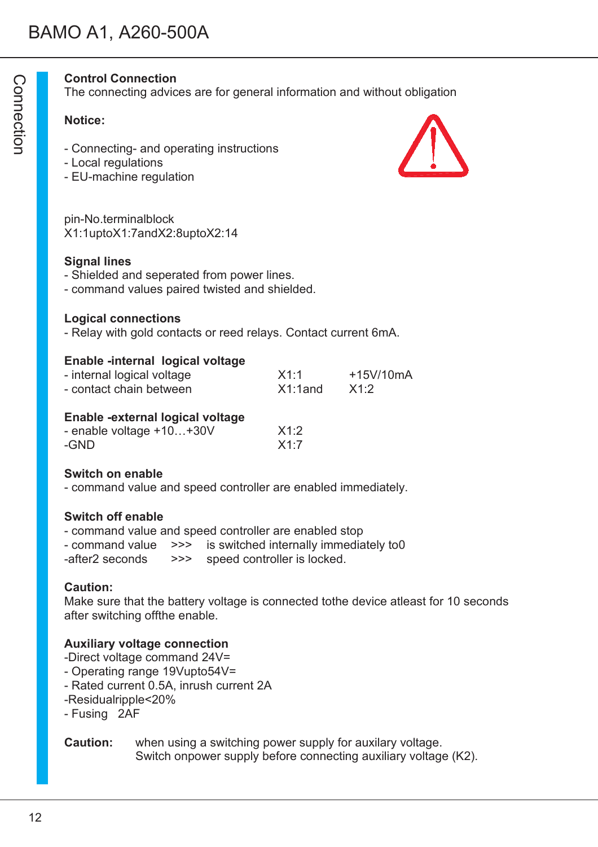#### **Control Connection**

The connecting advices are for general information and without obligation

#### **Notice:**

- Connecting- and operating instructions
- Local regulations
- EU-machine regulation

pin-No.terminalblock X1:1uptoX1:7andX2:8uptoX2:14

#### **Signal lines**

- Shielded and seperated from power lines.
- command values paired twisted and shielded.

#### **Logical connections**

- Relay with gold contacts or reed relays. Contact current 6mA.

#### **Enable -internal logical voltage**

- internal logical voltage  $X1:1$  +15V/10mA - contact chain between X1:1and X1:2

#### **Enable -external logical voltage**

| - enable voltage +10+30V | X1:2 |
|--------------------------|------|
| -GND                     | X1:7 |

#### **Switch on enable**

- command value and speed controller are enabled immediately.

#### **Switch off enable**

- command value and speed controller are enabled stop
- command value >>> is switched internally immediately to0
- -after2 seconds >>> speed controller is locked.

#### **Caution:**

Make sure that the battery voltage is connected tothe device atleast for 10 seconds after switching offthe enable.

#### **Auxiliary voltage connection**

- -Direct voltage command 24V=
- Operating range 19Vupto54V=
- Rated current 0.5A, inrush current 2A
- -Residualripple<20%
- Fusing 2AF

#### **Caution:** when using a switching power supply for auxilary voltage. Switch onpower supply before connecting auxiliary voltage (K2).



 $\bigcirc$ o コ  $\mathbin{\sqsupset}$ ወ ctio コ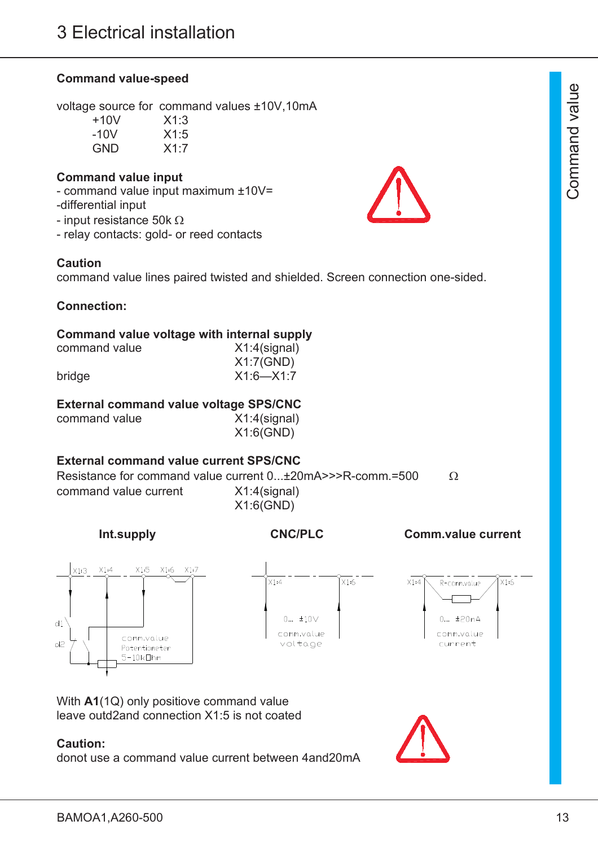#### **Command value-speed**

voltage source for command values ±10V,10mA

| +10V | X1:3 |
|------|------|
| -10V | X1:5 |
| GND  | X1:7 |

#### **Command value input**

- command value input maximum ±10V= -differential input

- input resistance 50k  $\Omega$
- relay contacts: gold- or reed contacts

#### **Caution**

command value lines paired twisted and shielded. Screen connection one-sided.

#### **Connection:**

#### **Command value voltage with internal supply**

| command value | $X1:4$ (signal) |
|---------------|-----------------|
|               | X1:7(GND)       |
| bridge        | $X1:6-X1:7$     |

#### **External command value voltage SPS/CNC**

| command value | $X1:4$ (signal) |
|---------------|-----------------|
|               | X1:6(GND)       |

#### **External command value current SPS/CNC**

Resistance for command value current  $0... \pm 20$  mA $\ge$ >R-comm.=500  $\Omega$ command value current X1:4(signal) X1:6(GND)

**Int.supply CNC/PLC Comm.value current**



With **A1**(1Q) only positiove command value leave outd2and connection X1:5 is not coated

#### **Caution:**

donot use a command value current between 4and20mA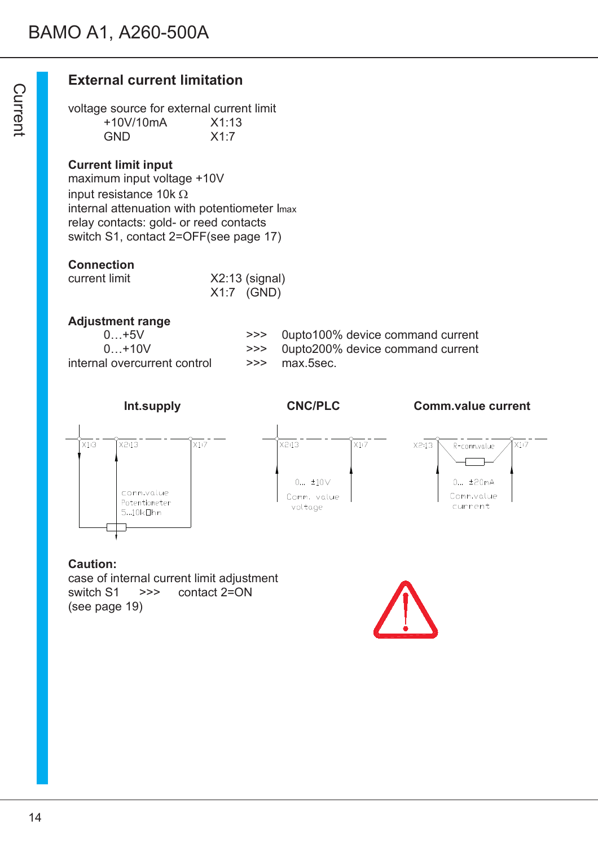## **External current limitation**

voltage source for external current limit +10V/10mA X1:13 GND X1:7

#### **Current limit input**

maximum input voltage +10V input resistance 10k  $\Omega$ internal attenuation with potentiometer Imax relay contacts: gold- or reed contacts switch S1, contact 2=OFF(see page 17)

#### **Connection**

| current limit | $X2:13$ (signal) |
|---------------|------------------|
|               | $X1:7$ (GND)     |

#### **Adjustment range**

| $0+5V$                       |
|------------------------------|
| $0+10V$                      |
| internal overcurrent control |

>>> 0upto100% device command current >>> 0upto200% device command current  $\gg$  max.5sec.



#### **Caution:**

case of internal current limit adjustment switch S1 >>> contact 2=ON (see page 19)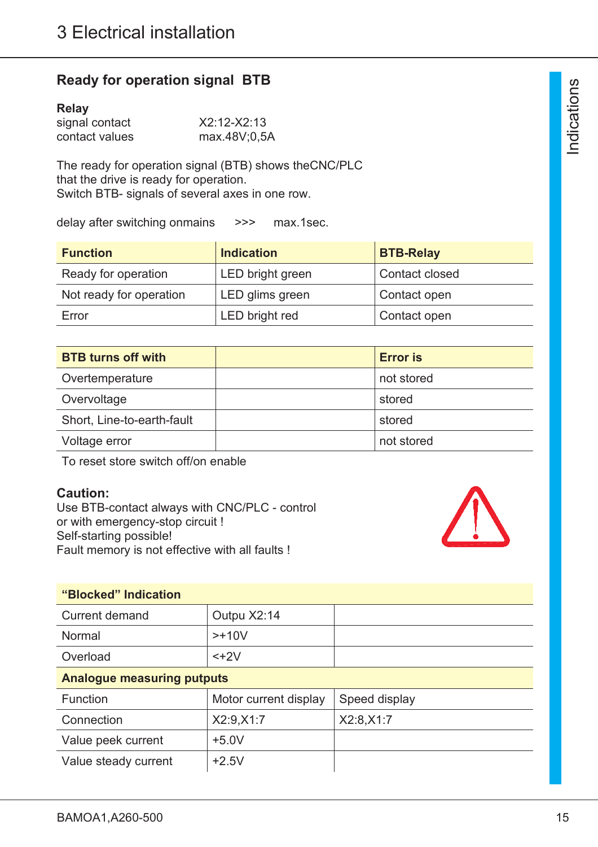## **Ready for operation signal BTB**

#### **Relay**

| signal contact | X2:12-X2:13  |
|----------------|--------------|
| contact values | max.48V;0,5A |

The ready for operation signal (BTB) shows theCNC/PLC that the drive is ready for operation. Switch BTB- signals of several axes in one row.

delay after switching onmains >>> max.1sec.

| <b>Function</b>         | <b>Indication</b> | <b>BTB-Relay</b> |
|-------------------------|-------------------|------------------|
| Ready for operation     | LED bright green  | Contact closed   |
| Not ready for operation | LED glims green   | Contact open     |
| Error                   | LED bright red    | Contact open     |

| <b>BTB turns off with</b>  | <b>Error</b> is |
|----------------------------|-----------------|
| Overtemperature            | not stored      |
| Overvoltage                | stored          |
| Short, Line-to-earth-fault | stored          |
| Voltage error              | not stored      |

To reset store switch off/on enable

#### **Caution:**

Use BTB-contact always with CNC/PLC - control or with emergency-stop circuit ! Self-starting possible! Fault memory is not effective with all faults !



### **"Blocked" Indication**

| Current demand | Outpu X2:14 |  |
|----------------|-------------|--|
| Normal         | $>+10V$     |  |
| Overload       | $<+2V$      |  |

#### **Analogue measuring putputs**

| Function             | Motor current display | Speed display |
|----------------------|-----------------------|---------------|
| Connection           | X2:9, X1:7            | X2:8, X1:7    |
| Value peek current   | $+5.0V$               |               |
| Value steady current | $+2.5V$               |               |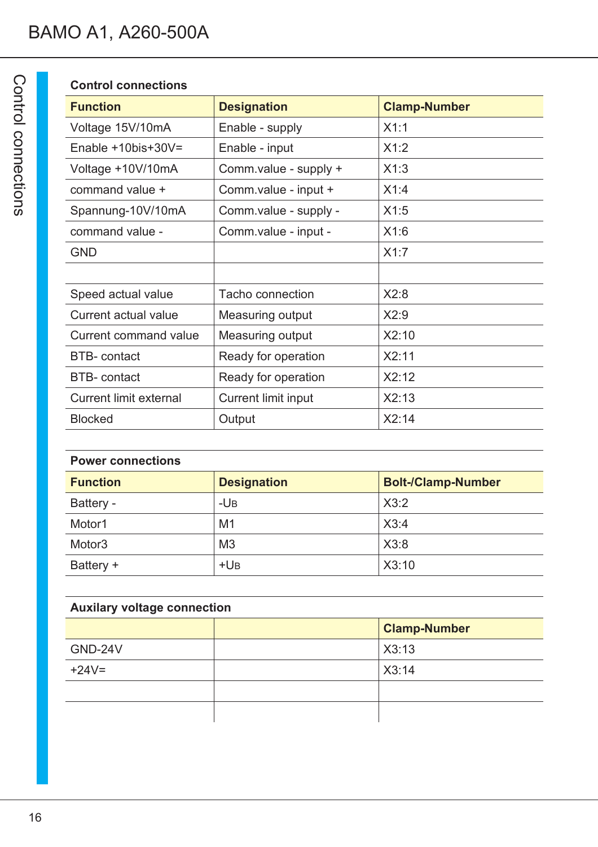## **Control connections**

| <b>Function</b>               | <b>Designation</b>    | <b>Clamp-Number</b> |
|-------------------------------|-----------------------|---------------------|
| Voltage 15V/10mA              | Enable - supply       | X1:1                |
| Enable $+10$ bis $+30V =$     | Enable - input        | X1:2                |
| Voltage +10V/10mA             | Comm.value - supply + | X1:3                |
| command value +               | Comm.value - input +  | X1:4                |
| Spannung-10V/10mA             | Comm.value - supply - | X1:5                |
| command value -               | Comm.value - input -  | X1:6                |
| <b>GND</b>                    |                       | X1:7                |
|                               |                       |                     |
| Speed actual value            | Tacho connection      | X2:8                |
| Current actual value          | Measuring output      | X2:9                |
| Current command value         | Measuring output      | X2:10               |
| <b>BTB-</b> contact           | Ready for operation   | X2:11               |
| <b>BTB-contact</b>            | Ready for operation   | X2:12               |
| <b>Current limit external</b> | Current limit input   | X2:13               |
| <b>Blocked</b>                | Output                | X2:14               |

| <b>Power connections</b> |                    |                           |  |
|--------------------------|--------------------|---------------------------|--|
| <b>Function</b>          | <b>Designation</b> | <b>Bolt-/Clamp-Number</b> |  |
| Battery -                | $-UB$              | X3:2                      |  |
| Motor1                   | M <sub>1</sub>     | X3:4                      |  |
| Motor <sub>3</sub>       | M <sub>3</sub>     | X3:8                      |  |
| Battery +                | $+UB$              | X3:10                     |  |

| <b>Auxilary voltage connection</b> |  |                     |  |
|------------------------------------|--|---------------------|--|
|                                    |  | <b>Clamp-Number</b> |  |
| GND-24V                            |  | X3:13               |  |
| $+24V=$                            |  | X3:14               |  |
|                                    |  |                     |  |
|                                    |  |                     |  |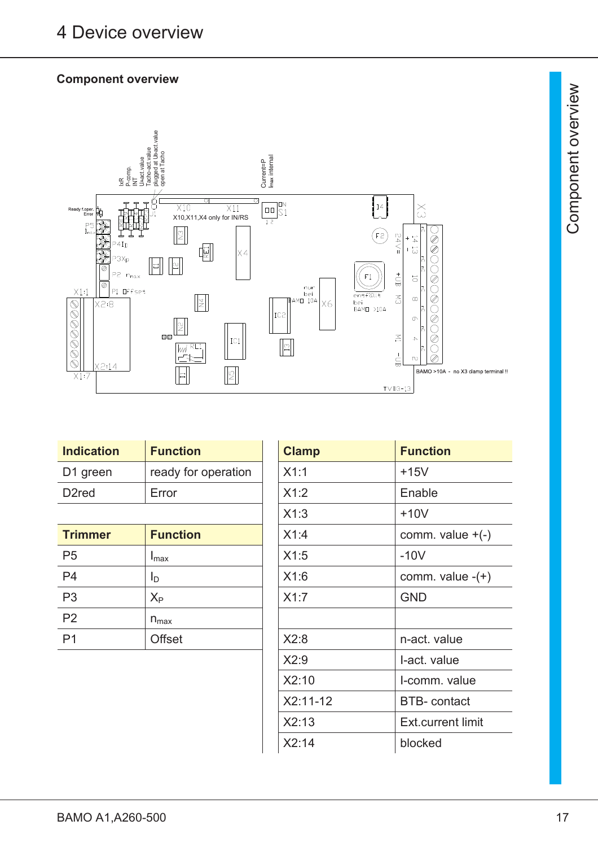## **Component overview**



| <b>Indication</b> | <b>Function</b>     | <b>Clamp</b> | <b>Function</b> |
|-------------------|---------------------|--------------|-----------------|
| D1 green          | ready for operation | X1:1         | $+15V$          |
| D2red             | Error               | X1:2         | Enable          |
|                   |                     |              |                 |

| <b>Trimmer</b> | <b>Function</b>  | X1:4 | comm. valu   |
|----------------|------------------|------|--------------|
| P <sub>5</sub> | I <sub>max</sub> | X1:5 | $-10V$       |
| P <sub>4</sub> | ID               | X1:6 | comm. valu   |
| P <sub>3</sub> | $X_{P}$          | X1:7 | <b>GND</b>   |
| P <sub>2</sub> | $n_{max}$        |      |              |
| P <sub>1</sub> | <b>Offset</b>    | X2:8 | n-act. value |
|                |                  |      |              |

| <b>Indication</b>  | <b>Function</b>     | <b>Clamp</b> | <b>Function</b>     |
|--------------------|---------------------|--------------|---------------------|
| D1 green           | ready for operation | X1:1         | $+15V$              |
| D <sub>2</sub> red | Error               | X1:2         | Enable              |
|                    |                     | X1:3         | $+10V$              |
| <b>Trimmer</b>     | <b>Function</b>     | X1:4         | comm. value $+(-)$  |
| P5                 | $I_{\text{max}}$    | X1:5         | $-10V$              |
| P4                 | I <sub>D</sub>      | X1:6         | comm. value $-(+)$  |
| P3                 | $X_{\mathsf{P}}$    | X1:7         | <b>GND</b>          |
| P <sub>2</sub>     | $n_{max}$           |              |                     |
| Ρ1                 | <b>Offset</b>       | X2:8         | n-act. value        |
|                    |                     | X2:9         | I-act. value        |
|                    |                     | X2:10        | I-comm. value       |
|                    |                     | $X2:11-12$   | <b>BTB-</b> contact |
|                    |                     | X2:13        | Ext.current limit   |
|                    |                     | X2:14        | blocked             |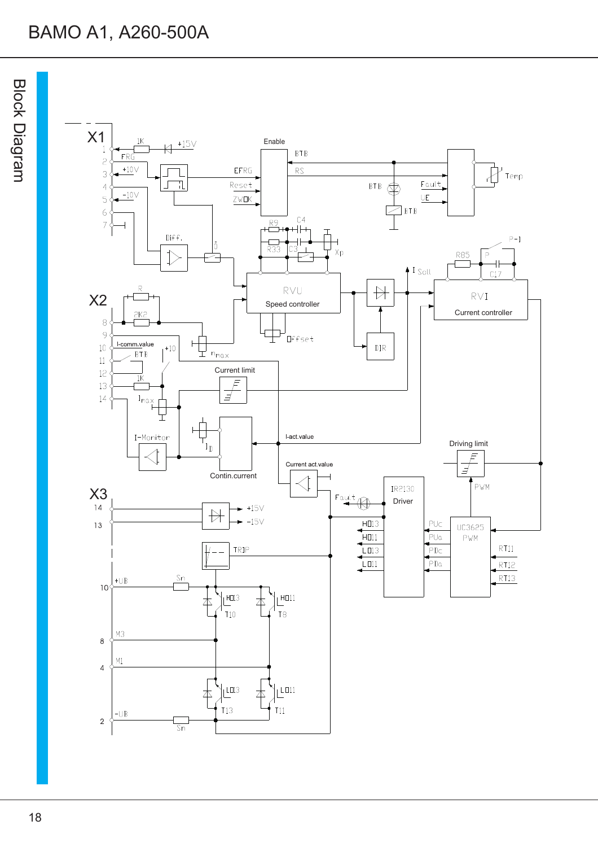# BAMO A1, A260-500A

D<br>O  $\mathsf{\Omega}$  $\blacktriangledown$ Dia gra  $\Xi$ 

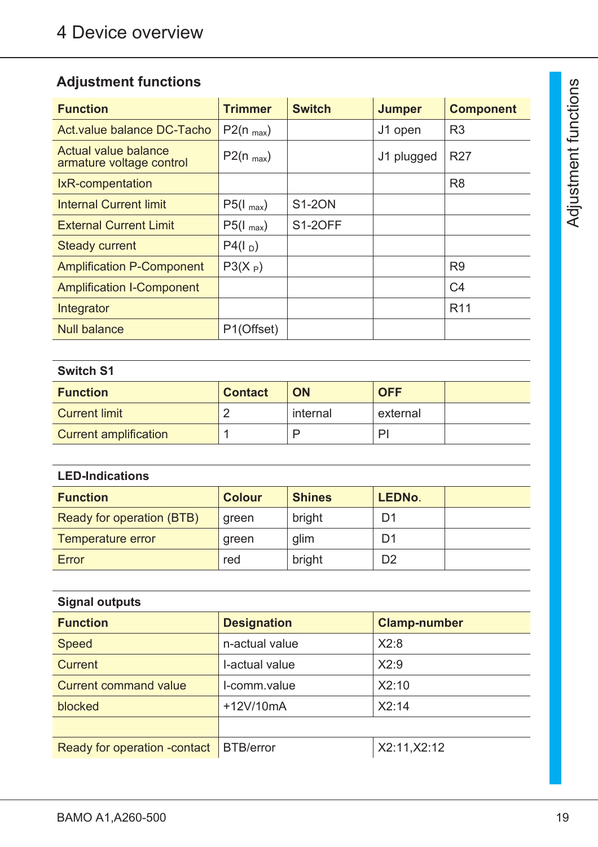## **Adjustment functions**

| <b>Function</b>                                  | <b>Trimmer</b> | <b>Switch</b>  | <b>Jumper</b> | <b>Component</b> |
|--------------------------------------------------|----------------|----------------|---------------|------------------|
| Act. value balance DC-Tacho                      | $P2(n_{max})$  |                | J1 open       | R <sub>3</sub>   |
| Actual value balance<br>armature voltage control | $P2(n_{max})$  |                | J1 plugged    | R <sub>27</sub>  |
| IxR-compentation                                 |                |                |               | R <sub>8</sub>   |
| <b>Internal Current limit</b>                    | $P5(I_{max})$  | <b>S1-20N</b>  |               |                  |
| <b>External Current Limit</b>                    | $P5(I_{max})$  | <b>S1-20FF</b> |               |                  |
| <b>Steady current</b>                            | $P4(I_D)$      |                |               |                  |
| <b>Amplification P-Component</b>                 | $P3(X_P)$      |                |               | R <sub>9</sub>   |
| <b>Amplification I-Component</b>                 |                |                |               | C <sub>4</sub>   |
| Integrator                                       |                |                |               | R <sub>11</sub>  |
| <b>Null balance</b>                              | P1(Offset)     |                |               |                  |

## **Switch S1**

| <b>Function</b>              | <b>Contact</b> | <b>ON</b> | <b>OFF</b> |  |
|------------------------------|----------------|-----------|------------|--|
| <b>Current limit</b>         |                | internal  | external   |  |
| <b>Current amplification</b> |                |           |            |  |

| <b>LED-Indications</b>    |               |               |                |  |
|---------------------------|---------------|---------------|----------------|--|
| <b>Function</b>           | <b>Colour</b> | <b>Shines</b> | <b>LEDNo.</b>  |  |
| Ready for operation (BTB) | green         | bright        | D1             |  |
| Temperature error         | green         | glim          | D1             |  |
| Error                     | red           | bright        | D <sub>2</sub> |  |

| <b>Signal outputs</b>         |                    |                     |  |  |
|-------------------------------|--------------------|---------------------|--|--|
| <b>Function</b>               | <b>Designation</b> | <b>Clamp-number</b> |  |  |
| <b>Speed</b>                  | n-actual value     | X2:8                |  |  |
| Current                       | I-actual value     | X2:9                |  |  |
| <b>Current command value</b>  | I-comm.value       | X2:10               |  |  |
| blocked                       | +12V/10mA          | X2:14               |  |  |
|                               |                    |                     |  |  |
| Ready for operation - contact | <b>BTB/error</b>   | X2:11, X2:12        |  |  |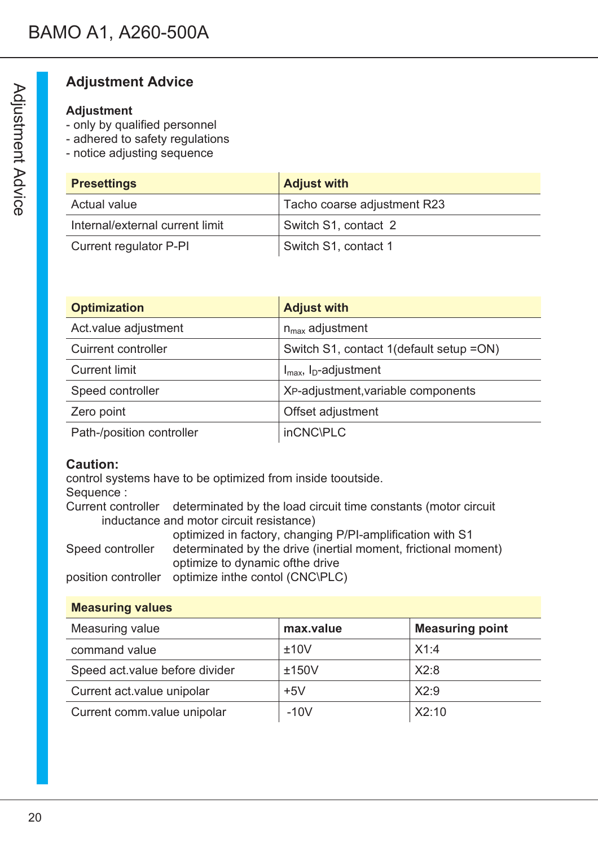## **Adjustment Advice**

## **Adjustment**

- only by qualified personnel
- adhered to safety regulations
- notice adjusting sequence

| <b>Presettings</b>              | <b>Adjust with</b>          |
|---------------------------------|-----------------------------|
| Actual value                    | Tacho coarse adjustment R23 |
| Internal/external current limit | Switch S1, contact 2        |
| Current regulator P-PI          | Switch S1, contact 1        |

| <b>Optimization</b>        | <b>Adjust with</b>                            |
|----------------------------|-----------------------------------------------|
| Act.value adjustment       | $n_{max}$ adjustment                          |
| <b>Cuirrent controller</b> | Switch S1, contact 1(default setup = ON)      |
| <b>Current limit</b>       | $I_{\text{max}}$ , $I_{\text{D}}$ -adjustment |
| Speed controller           | XP-adjustment, variable components            |
| Zero point                 | Offset adjustment                             |
| Path-/position controller  | inCNC\PLC                                     |

### **Caution:**

control systems have to be optimized from inside tooutside. Sequence : Current controller determinated by the load circuit time constants (motor circuit inductance and motor circuit resistance) optimized in factory, changing P/PI-amplification with S1 Speed controller determinated by the drive (inertial moment, frictional moment)

optimize to dynamic ofthe drive

position controller optimize inthe contol (CNC\PLC)

## **Measuring values**

| Measuring value                | max.value | <b>Measuring point</b> |
|--------------------------------|-----------|------------------------|
| command value                  | ±10V      | X1:4                   |
| Speed act value before divider | ±150V     | X2:8                   |
| Current act.value unipolar     | $+5V$     | X2:9                   |
| Current comm.value unipolar    | $-10V$    | X2:10                  |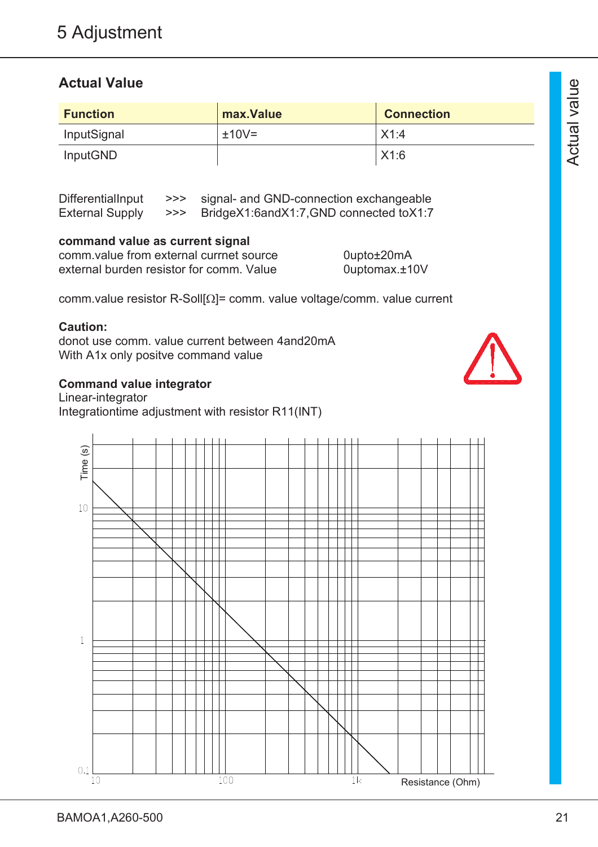## **Actual Value**

| <b>Function</b> | max. Value | <b>Connection</b> |
|-----------------|------------|-------------------|
| InputSignal     | $±10V=$    | X1:4              |
| <b>InputGND</b> |            | X1:6              |

DifferentialInput >>> signal- and GND-connection exchangeable External Supply >>> BridgeX1:6andX1:7,GND connected toX1:7

#### **command value as current signal**

| comm value from external currnet source  | 0upto±20mA       |
|------------------------------------------|------------------|
| external burden resistor for comm. Value | 0uptomax. $±10V$ |

comm.value resistor R-Soll[ $\Omega$ ]= comm. value voltage/comm. value current

#### **Caution:**

donot use comm. value current between 4and20mA With A1x only positve command value

#### **Command value integrator**

Linear-integrator Integrationtime adjustment with resistor R11(INT)



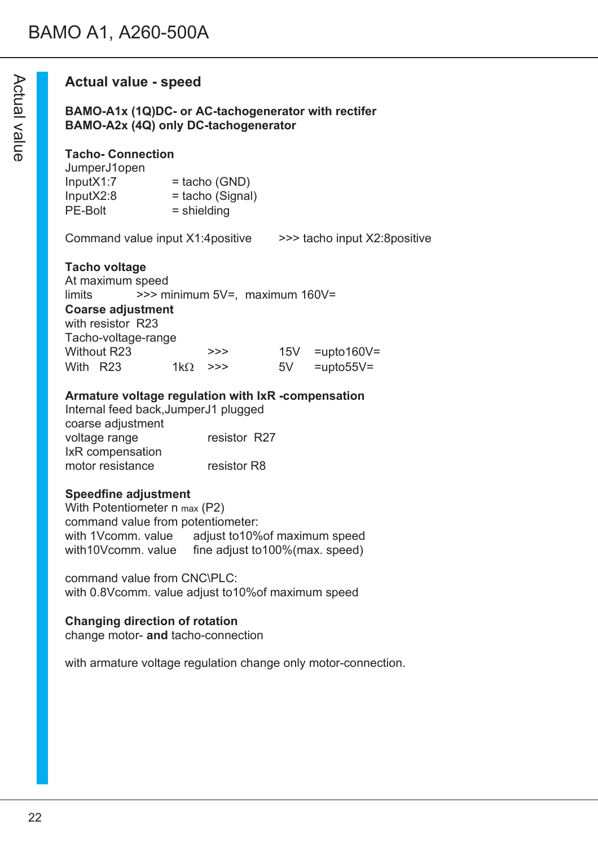## **Actual value - speed**

**BAMO-A1x (1Q)DC- or AC-tachogenerator with rectifer BAMO-A2x (4Q) only DC-tachogenerator**

#### **Tacho- Connection**

| JumperJ1open |                    |
|--------------|--------------------|
| InputX1:7    | $=$ tacho (GND)    |
| InputX2:8    | $=$ tacho (Signal) |
| PE-Bolt      | $=$ shielding      |

Command value input X1:4positive >>> tacho input X2:8positive

#### **Tacho voltage**

At maximum speed limits >>> minimum 5V=, maximum 160V= **Coarse adjustment** with resistor R23 Tacho-voltage-range Without R23  $\rightarrow$ >> 15V =upto160V= With R23  $1k\Omega$  >>> 5V =upto55V=

#### **Armature voltage regulation with IxR -compensation**

Internal feed back,JumperJ1 plugged coarse adjustment voltage range resistor R27 IxR compensation motor resistance resistor R8

#### **Speedfine adjustment**

With Potentiometer n max (P2) command value from potentiometer: with 1Vcomm. value adjust to 10% of maximum speed with 10Vcomm. value fine adjust to 100% (max. speed) fine adjust to100% (max. speed)

command value from CNC\PLC: with 0.8Vcomm. value adjust to10%of maximum speed

#### **Changing direction of rotation**

change motor- **and** tacho-connection

with armature voltage regulation change only motor-connection.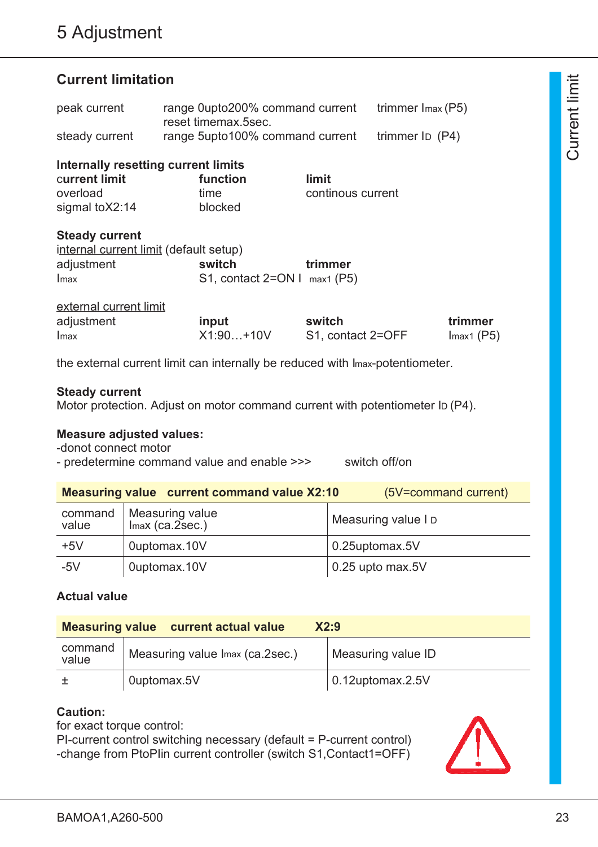## **Current limitation**

| peak current   | range 0upto200% command current<br>reset timemax.5sec. | trimmer $Imax(P5)$ |
|----------------|--------------------------------------------------------|--------------------|
| steady current | range 5upto100% command current                        | trimmer $I_D$ (P4) |

**Internally resetting current limits** c**urrent limit function limit** overload time continous current

sigmal to X2:14 blocked

#### **Steady current**

| internal current limit (default setup) |                                |         |
|----------------------------------------|--------------------------------|---------|
| adjustment                             | switch                         | trimmer |
| Imax                                   | S1, contact $2=ON I$ max1 (P5) |         |

| external current limit |             |                   |              |
|------------------------|-------------|-------------------|--------------|
| adjustment             | input       | switch            | trimmer      |
| Imax                   | $X1:90+10V$ | S1, contact 2=OFF | $Imax1$ (P5) |

the external current limit can internally be reduced with Imax-potentiometer.

#### **Steady current**

Motor protection. Adjust on motor command current with potentiometer ID (P4).

#### **Measure adjusted values:**

-donot connect motor

- predetermine command value and enable >>> switch off/on

|                                                                             | <b>Measuring value current command value X2:10</b> | (5V=command current) |
|-----------------------------------------------------------------------------|----------------------------------------------------|----------------------|
| command   Measuring value<br>value   Imax (ca.2sec.)<br>Measuring value I D |                                                    |                      |
| $+5V$                                                                       | Ouptomax.10V                                       | 0.25uptomax.5V       |
| $-5V$                                                                       | Ouptomax.10V                                       | $0.25$ upto max.5V   |

#### **Actual value**

| <b>Measuring value</b> current actual value<br>X2:9 |                                 |                          |  |
|-----------------------------------------------------|---------------------------------|--------------------------|--|
| command<br>value                                    | Measuring value Imax (ca.2sec.) | Measuring value ID       |  |
|                                                     | Ouptomax.5V                     | $\vert$ 0.12uptomax.2.5V |  |

#### **Caution:**

for exact torque control:

PI-current control switching necessary (default = P-current control) -change from PtoPIin current controller (switch S1,Contact1=OFF)

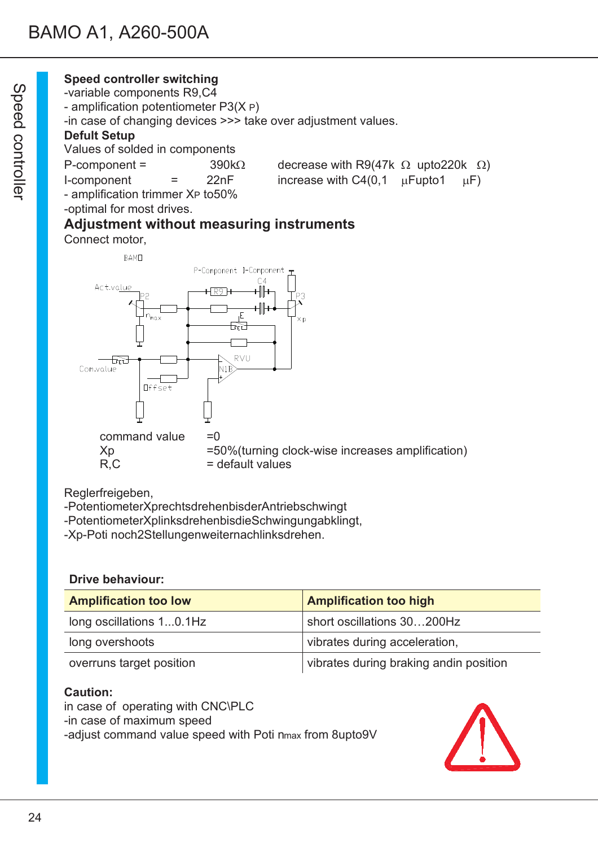## **Speed controller switching**

-variable components R9,C4

- amplification potentiometer P3(X P)

-in case of changing devices >>> take over adjustment values.

## **Defult Setup**

Values of solded in components

| $P$ -component =                   |                   | $390\mathrm{k}\Omega$ | decrease with R9(47k $\Omega$ upto 220k $\Omega$ |          |
|------------------------------------|-------------------|-----------------------|--------------------------------------------------|----------|
| I-component                        | $\equiv$ $\equiv$ | 22nF                  | increase with $C4(0,1 \quad \mu$ Fupto1          | $\mu$ F) |
| amplification trimps on Va to E00/ |                   |                       |                                                  |          |

```
P-component = 390k\Omega decrease with R9(47k \Omega upto220k \Omega)
```
- amplification trimmer XP to50%

-optimal for most drives.

# **Adjustment without measuring instruments**

Connect motor,



Reglerfreigeben,

-PotentiometerXprechtsdrehenbisderAntriebschwingt

-PotentiometerXplinksdrehenbisdieSchwingungabklingt,

-Xp-Poti noch2Stellungenweiternachlinksdrehen.

### **Drive behaviour:**

| <b>Amplification too low</b> | <b>Amplification too high</b>          |  |
|------------------------------|----------------------------------------|--|
| long oscillations 10.1Hz     | short oscillations 30200Hz             |  |
| long overshoots              | vibrates during acceleration,          |  |
| overruns target position     | vibrates during braking andin position |  |

### **Caution:**

in case of operating with CNC\PLC -in case of maximum speed -adjust command value speed with Poti nmax from 8upto9V

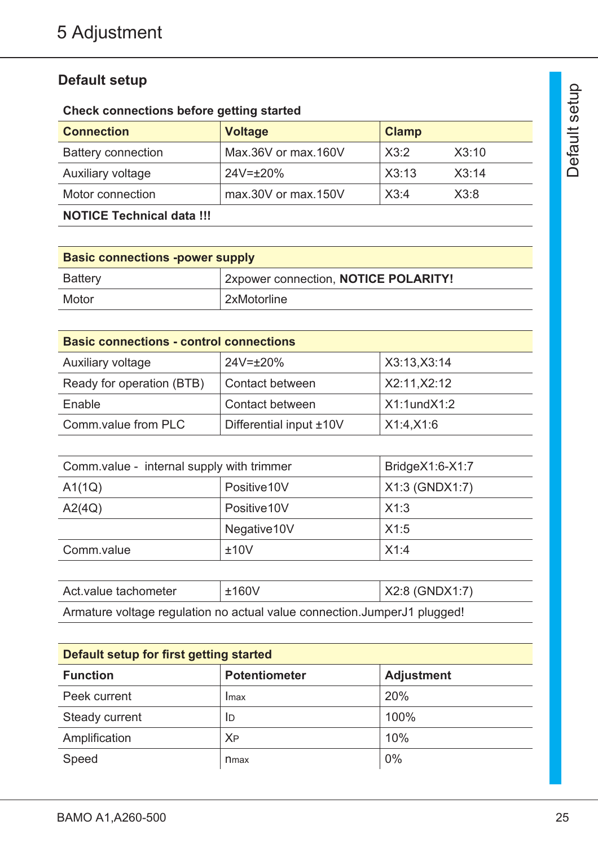## **Default setup**

## **Check connections before getting started**

| <b>Connection</b>                | <b>Voltage</b>      | <b>Clamp</b> |       |
|----------------------------------|---------------------|--------------|-------|
| <b>Battery connection</b>        | Max.36V or max.160V | X3:2         | X3:10 |
| Auxiliary voltage                | $24V = \pm 20\%$    | X3:13        | X3:14 |
| Motor connection                 | max.30V or max.150V | X3:4         | X3:8  |
| <b>NOTICE Technical data !!!</b> |                     |              |       |

| <b>Basic connections -power supply</b> |                                      |  |
|----------------------------------------|--------------------------------------|--|
| Battery                                | 2xpower connection, NOTICE POLARITY! |  |
| Motor                                  | 2xMotorline                          |  |

| <b>Basic connections - control connections</b> |                         |                   |  |
|------------------------------------------------|-------------------------|-------------------|--|
| Auxiliary voltage                              | $24V = \pm 20\%$        | X3:13, X3:14      |  |
| Ready for operation (BTB)                      | Contact between         | X2:11, X2:12      |  |
| Enable                                         | Contact between         | $X1:1$ und $X1:2$ |  |
| Comm.value from PLC                            | Differential input ±10V | X1:4, X1:6        |  |

| Comm.value - internal supply with trimmer |              | Bridge $X1:6-X1:7$ |
|-------------------------------------------|--------------|--------------------|
| A1(1Q)                                    | Positive 10V | $X1:3$ (GNDX1:7)   |
| A2(4Q)                                    | Positive 10V | X1:3               |
|                                           | Negative10V  | X1:5               |
| Comm.value                                | ±10V         | X1:4               |

| Act. value tachometer                                                    | $\pm 160V$ | $X2.8$ (GNDX1:7) |  |
|--------------------------------------------------------------------------|------------|------------------|--|
| Armature voltage regulation no actual value connection.JumperJ1 plugged! |            |                  |  |

| Default setup for first getting started |                      |                   |  |
|-----------------------------------------|----------------------|-------------------|--|
| <b>Function</b>                         | <b>Potentiometer</b> | <b>Adjustment</b> |  |
| Peek current                            | Imax                 | 20%               |  |
| Steady current                          | ID                   | 100%              |  |
| Amplification                           | <b>XP</b>            | 10%               |  |
| Speed                                   | n <sub>max</sub>     | 0%                |  |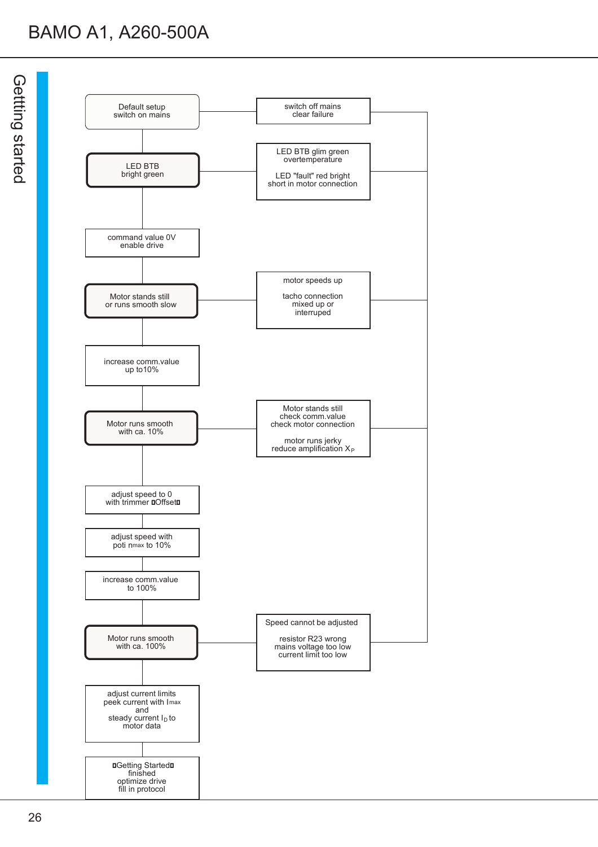# BAMO A1, A260-500A

G etttin  $\boldsymbol{\Omega}$ s<br>18 ጋ<br>ወ  $\Omega$ 

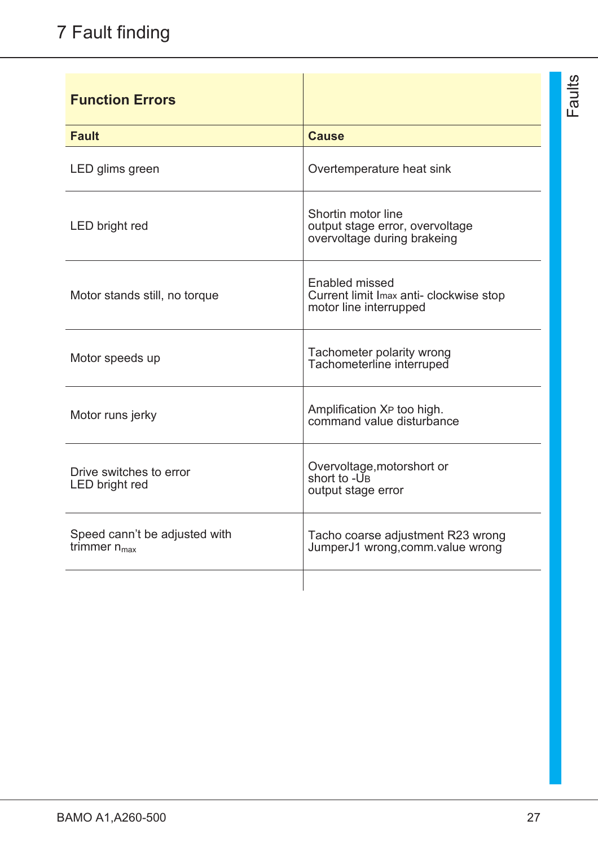| <b>Function Errors</b>                             |                                                                                      |
|----------------------------------------------------|--------------------------------------------------------------------------------------|
| <b>Fault</b>                                       | <b>Cause</b>                                                                         |
| LED glims green                                    | Overtemperature heat sink                                                            |
| LED bright red                                     | Shortin motor line<br>output stage error, overvoltage<br>overvoltage during brakeing |
| Motor stands still, no torque                      | Enabled missed<br>Current limit Imax anti- clockwise stop<br>motor line interrupped  |
| Motor speeds up                                    | Tachometer polarity wrong<br>Tachometerline interruped                               |
| Motor runs jerky                                   | Amplification XP too high.<br>command value disturbance                              |
| Drive switches to error<br>LED bright red          | Overvoltage, motorshort or<br>short to -UB<br>output stage error                     |
| Speed cann't be adjusted with<br>trimmer $n_{max}$ | Tacho coarse adjustment R23 wrong<br>JumperJ1 wrong, comm. value wrong               |
|                                                    |                                                                                      |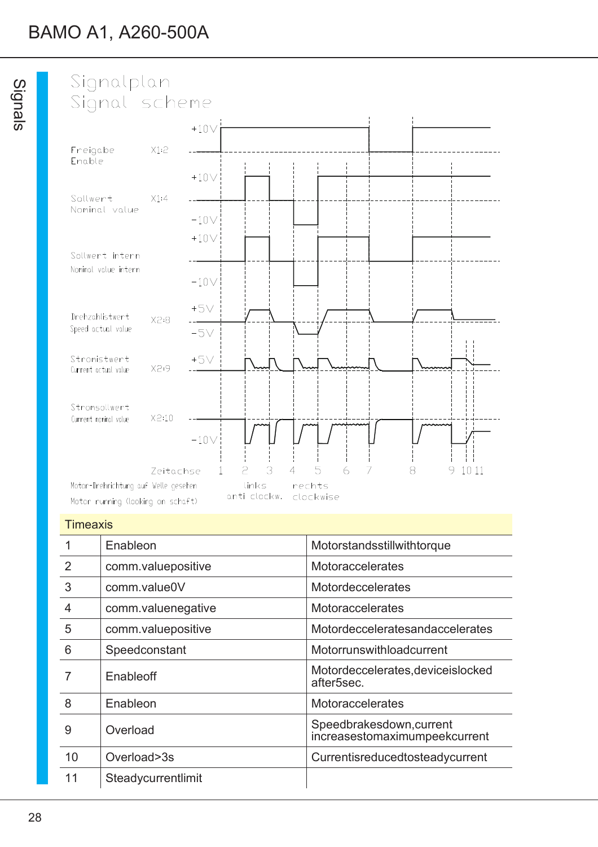

#### **Timeaxis**

|                | Enableon           | Motorstandsstillwithtorque                                   |
|----------------|--------------------|--------------------------------------------------------------|
| 2              | comm.valuepositive | Motoraccelerates                                             |
| 3              | comm.value0V       | Motordeccelerates                                            |
| $\overline{4}$ | comm.valuenegative | Motoraccelerates                                             |
| 5              | comm.valuepositive | Motordecceleratesandaccelerates                              |
| 6              | Speedconstant      | Motorrunswithloadcurrent                                     |
|                | Enableoff          | Motordeccelerates, deviceislocked<br>after <sub>5sec</sub> . |
| 8              | Enableon           | <b>Motoraccelerates</b>                                      |
| 9              | Overload           | Speedbrakesdown, current<br>increasestomaximumpeekcurrent    |
| 10             | Overload>3s        | Currentisreducedtosteadycurrent                              |
| 11             | Steadycurrentlimit |                                                              |
|                |                    |                                                              |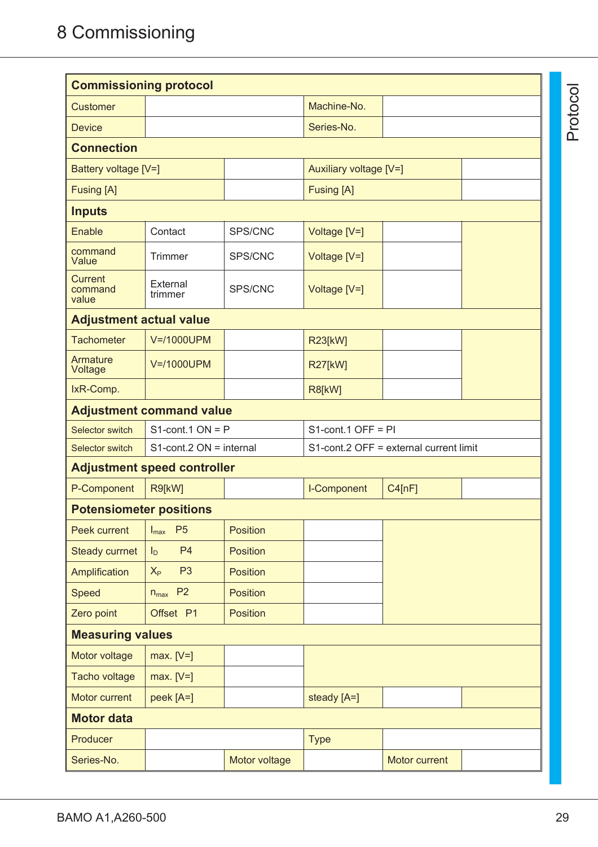| <b>Commissioning protocol</b>      |                                                |                        |                                        |        |  |
|------------------------------------|------------------------------------------------|------------------------|----------------------------------------|--------|--|
| <b>Customer</b>                    |                                                |                        | Machine-No.                            |        |  |
| <b>Device</b>                      |                                                |                        | Series-No.                             |        |  |
| <b>Connection</b>                  |                                                |                        |                                        |        |  |
| Battery voltage [V=]               |                                                | Auxiliary voltage [V=] |                                        |        |  |
| <b>Fusing [A]</b>                  |                                                |                        | <b>Fusing [A]</b>                      |        |  |
| <b>Inputs</b>                      |                                                |                        |                                        |        |  |
| Enable                             | Contact                                        | SPS/CNC                | Voltage [V=]                           |        |  |
| command<br>Value                   | <b>Trimmer</b>                                 | SPS/CNC                | Voltage [V=]                           |        |  |
| <b>Current</b><br>command<br>value | External<br>trimmer                            | SPS/CNC                | Voltage [V=]                           |        |  |
| <b>Adjustment actual value</b>     |                                                |                        |                                        |        |  |
| <b>Tachometer</b>                  | V=/1000UPM                                     |                        | <b>R23[kW]</b>                         |        |  |
| Armature<br>Voltage                | V=/1000UPM                                     |                        | <b>R27[kW]</b>                         |        |  |
| IxR-Comp.                          |                                                |                        | R8[kW]                                 |        |  |
|                                    | <b>Adjustment command value</b>                |                        |                                        |        |  |
| Selector switch                    | $S1$ -cont.1 ON = P                            |                        | $S1$ -cont.1 OFF = PI                  |        |  |
| Selector switch                    | $S1$ -cont.2 ON = internal                     |                        | S1-cont.2 OFF = external current limit |        |  |
|                                    | <b>Adjustment speed controller</b>             |                        |                                        |        |  |
| P-Component                        | R9[kW]                                         |                        | I-Component                            | C4[nF] |  |
| <b>Potensiometer positions</b>     |                                                |                        |                                        |        |  |
| Peek current                       | $\vert$ $\vert_{\text{max}}$<br>P <sub>5</sub> | Position               |                                        |        |  |
| <b>Steady currnet</b>              | <b>P4</b><br>$I_D$                             | Position               |                                        |        |  |
| Amplification                      | P <sub>3</sub><br>$X_{P}$                      | <b>Position</b>        |                                        |        |  |
| Speed                              | $n_{max}$ P2                                   | <b>Position</b>        |                                        |        |  |
| Zero point                         | Offset P1                                      | Position               |                                        |        |  |
| <b>Measuring values</b>            |                                                |                        |                                        |        |  |
| Motor voltage                      | $max. [V=]$                                    |                        |                                        |        |  |
| Tacho voltage                      | $max. [V=]$                                    |                        |                                        |        |  |
|                                    | peek [A=]                                      |                        | steady [A=]                            |        |  |
| Motor current                      |                                                |                        |                                        |        |  |
| <b>Motor data</b>                  |                                                |                        |                                        |        |  |
| Producer                           |                                                |                        | <b>Type</b>                            |        |  |